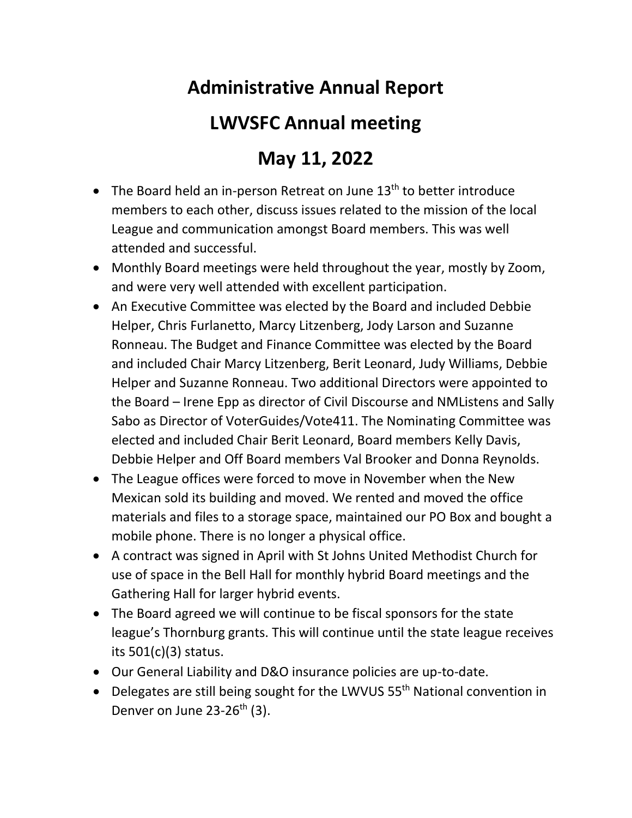## **Administrative Annual Report**

## **LWVSFC Annual meeting**

## **May 11, 2022**

- The Board held an in-person Retreat on June  $13<sup>th</sup>$  to better introduce members to each other, discuss issues related to the mission of the local League and communication amongst Board members. This was well attended and successful.
- Monthly Board meetings were held throughout the year, mostly by Zoom, and were very well attended with excellent participation.
- An Executive Committee was elected by the Board and included Debbie Helper, Chris Furlanetto, Marcy Litzenberg, Jody Larson and Suzanne Ronneau. The Budget and Finance Committee was elected by the Board and included Chair Marcy Litzenberg, Berit Leonard, Judy Williams, Debbie Helper and Suzanne Ronneau. Two additional Directors were appointed to the Board – Irene Epp as director of Civil Discourse and NMListens and Sally Sabo as Director of VoterGuides/Vote411. The Nominating Committee was elected and included Chair Berit Leonard, Board members Kelly Davis, Debbie Helper and Off Board members Val Brooker and Donna Reynolds.
- The League offices were forced to move in November when the New Mexican sold its building and moved. We rented and moved the office materials and files to a storage space, maintained our PO Box and bought a mobile phone. There is no longer a physical office.
- A contract was signed in April with St Johns United Methodist Church for use of space in the Bell Hall for monthly hybrid Board meetings and the Gathering Hall for larger hybrid events.
- The Board agreed we will continue to be fiscal sponsors for the state league's Thornburg grants. This will continue until the state league receives its 501(c)(3) status.
- Our General Liability and D&O insurance policies are up-to-date.
- Delegates are still being sought for the LWVUS 55<sup>th</sup> National convention in Denver on June  $23-26$ <sup>th</sup> (3).